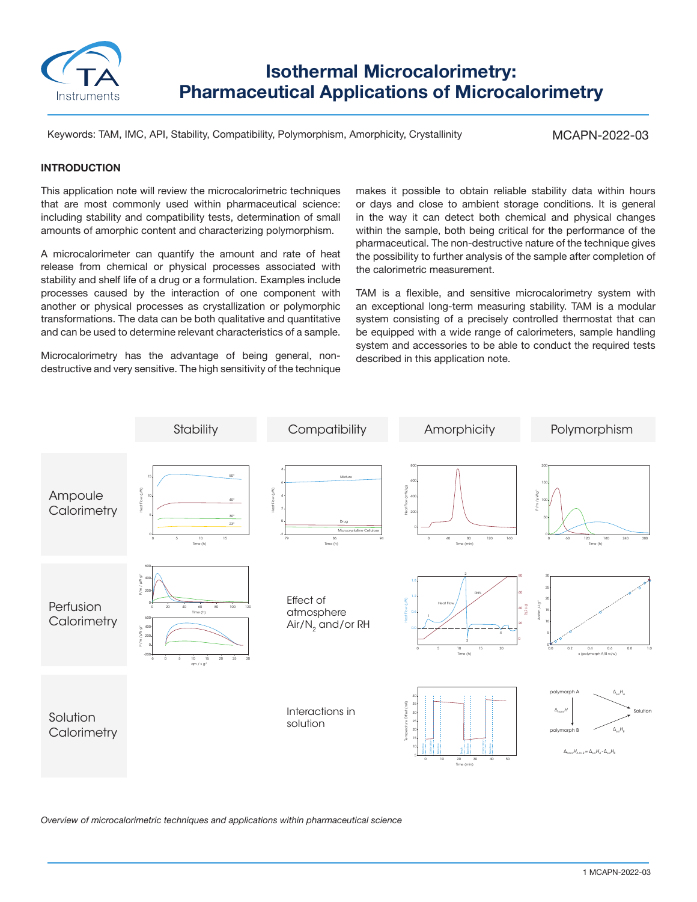

**Isothermal Microcalorimetry: Pharmaceutical Applications of Microcalorimetry**

Keywords: TAM, IMC, API, Stability, Compatibility, Polymorphism, Amorphicity, Crystallinity

MCAPN-2022-03

## **INTRODUCTION**

This application note will review the microcalorimetric techniques that are most commonly used within pharmaceutical science: including stability and compatibility tests, determination of small amounts of amorphic content and characterizing polymorphism.

A microcalorimeter can quantify the amount and rate of heat release from chemical or physical processes associated with stability and shelf life of a drug or a formulation. Examples include processes caused by the interaction of one component with another or physical processes as crystallization or polymorphic transformations. The data can be both qualitative and quantitative and can be used to determine relevant characteristics of a sample.

Microcalorimetry has the advantage of being general, nondestructive and very sensitive. The high sensitivity of the technique makes it possible to obtain reliable stability data within hours or days and close to ambient storage conditions. It is general in the way it can detect both chemical and physical changes within the sample, both being critical for the performance of the pharmaceutical. The non-destructive nature of the technique gives the possibility to further analysis of the sample after completion of the calorimetric measurement.

TAM is a flexible, and sensitive microcalorimetry system with an exceptional long-term measuring stability. TAM is a modular system consisting of a precisely controlled thermostat that can be equipped with a wide range of calorimeters, sample handling system and accessories to be able to conduct the required tests described in this application note.



*Overview of microcalorimetric techniques and applications within pharmaceutical science*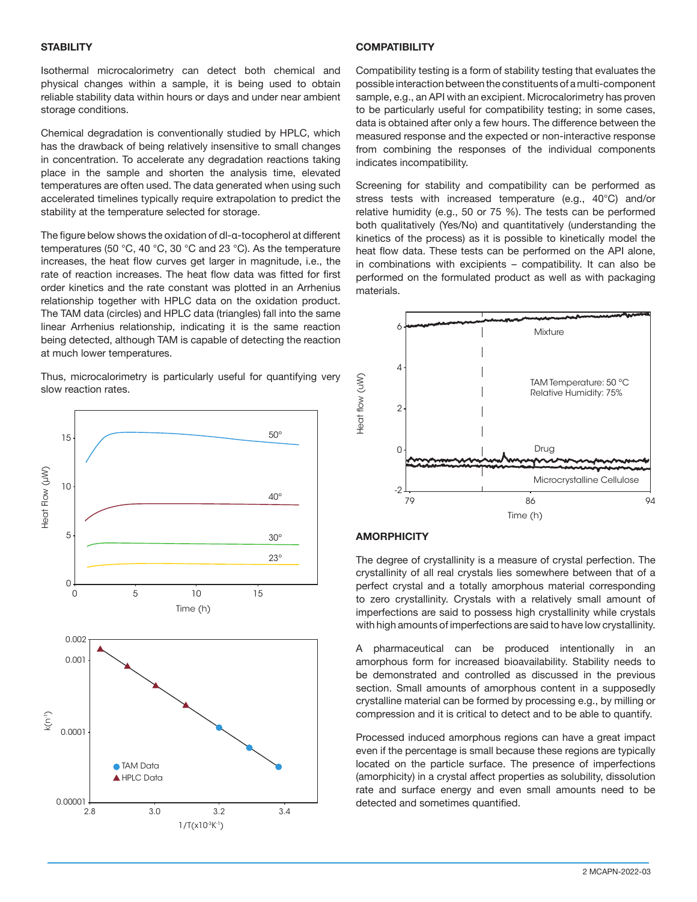#### **STABILITY**

Isothermal microcalorimetry can detect both chemical and physical changes within a sample, it is being used to obtain reliable stability data within hours or days and under near ambient storage conditions.

Chemical degradation is conventionally studied by HPLC, which has the drawback of being relatively insensitive to small changes in concentration. To accelerate any degradation reactions taking place in the sample and shorten the analysis time, elevated temperatures are often used. The data generated when using such accelerated timelines typically require extrapolation to predict the stability at the temperature selected for storage.

The figure below shows the oxidation of dl-α-tocopherol at different temperatures (50 °C, 40 °C, 30 °C and 23 °C). As the temperature increases, the heat flow curves get larger in magnitude, i.e., the rate of reaction increases. The heat flow data was fitted for first order kinetics and the rate constant was plotted in an Arrhenius relationship together with HPLC data on the oxidation product. The TAM data (circles) and HPLC data (triangles) fall into the same linear Arrhenius relationship, indicating it is the same reaction being detected, although TAM is capable of detecting the reaction at much lower temperatures.

Thus, microcalorimetry is particularly useful for quantifying very slow reaction rates.



### **COMPATIBILITY**

Compatibility testing is a form of stability testing that evaluates the possible interaction between the constituents of a multi-component sample, e.g., an API with an excipient. Microcalorimetry has proven to be particularly useful for compatibility testing; in some cases, data is obtained after only a few hours. The difference between the measured response and the expected or non-interactive response from combining the responses of the individual components indicates incompatibility.

Screening for stability and compatibility can be performed as stress tests with increased temperature (e.g., 40°C) and/or relative humidity (e.g., 50 or 75 %). The tests can be performed both qualitatively (Yes/No) and quantitatively (understanding the kinetics of the process) as it is possible to kinetically model the heat flow data. These tests can be performed on the API alone, in combinations with excipients – compatibility. It can also be performed on the formulated product as well as with packaging materials.



## **AMORPHICITY**

The degree of crystallinity is a measure of crystal perfection. The crystallinity of all real crystals lies somewhere between that of a perfect crystal and a totally amorphous material corresponding to zero crystallinity. Crystals with a relatively small amount of imperfections are said to possess high crystallinity while crystals with high amounts of imperfections are said to have low crystallinity.

A pharmaceutical can be produced intentionally in an amorphous form for increased bioavailability. Stability needs to be demonstrated and controlled as discussed in the previous section. Small amounts of amorphous content in a supposedly crystalline material can be formed by processing e.g., by milling or compression and it is critical to detect and to be able to quantify.

Processed induced amorphous regions can have a great impact even if the percentage is small because these regions are typically located on the particle surface. The presence of imperfections (amorphicity) in a crystal affect properties as solubility, dissolution rate and surface energy and even small amounts need to be detected and sometimes quantified.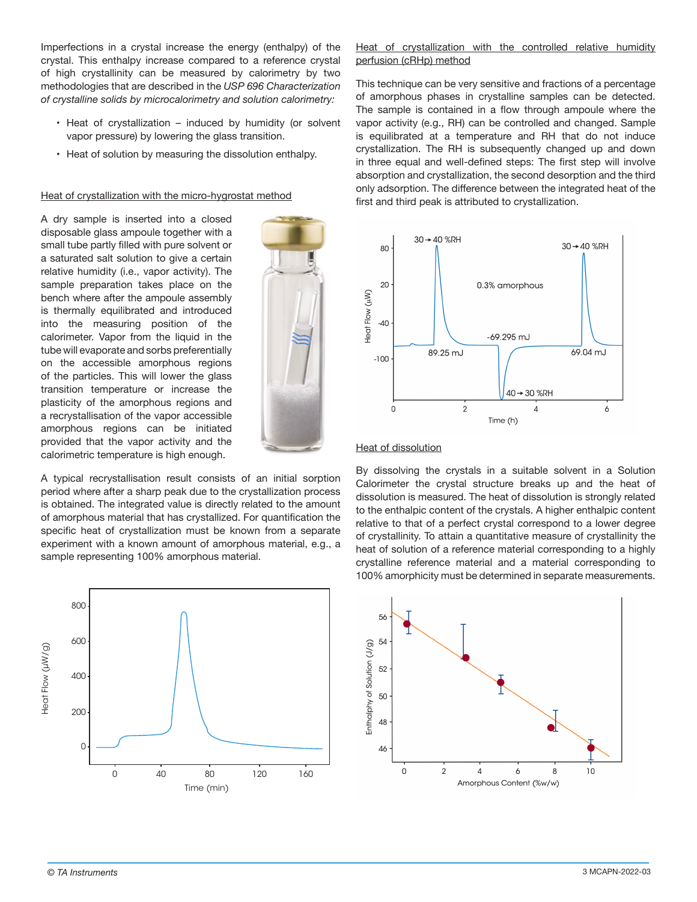Imperfections in a crystal increase the energy (enthalpy) of the crystal. This enthalpy increase compared to a reference crystal of high crystallinity can be measured by calorimetry by two methodologies that are described in the *USP 696 Characterization of crystalline solids by microcalorimetry and solution calorimetry:*

- Heat of crystallization induced by humidity (or solvent vapor pressure) by lowering the glass transition.
- Heat of solution by measuring the dissolution enthalpy.

Heat of crystallization with the micro-hygrostat method

A dry sample is inserted into a closed disposable glass ampoule together with a small tube partly filled with pure solvent or a saturated salt solution to give a certain relative humidity (i.e., vapor activity). The sample preparation takes place on the bench where after the ampoule assembly is thermally equilibrated and introduced into the measuring position of the calorimeter. Vapor from the liquid in the tube will evaporate and sorbs preferentially on the accessible amorphous regions of the particles. This will lower the glass transition temperature or increase the plasticity of the amorphous regions and a recrystallisation of the vapor accessible amorphous regions can be initiated provided that the vapor activity and the calorimetric temperature is high enough.

A typical recrystallisation result consists of an initial sorption period where after a sharp peak due to the crystallization process is obtained. The integrated value is directly related to the amount of amorphous material that has crystallized. For quantification the specific heat of crystallization must be known from a separate experiment with a known amount of amorphous material, e.g., a sample representing 100% amorphous material.



Heat of crystallization with the controlled relative humidity perfusion (cRHp) method

This technique can be very sensitive and fractions of a percentage of amorphous phases in crystalline samples can be detected. The sample is contained in a flow through ampoule where the vapor activity (e.g., RH) can be controlled and changed. Sample is equilibrated at a temperature and RH that do not induce crystallization. The RH is subsequently changed up and down in three equal and well-defined steps: The first step will involve absorption and crystallization, the second desorption and the third only adsorption. The difference between the integrated heat of the first and third peak is attributed to crystallization.





By dissolving the crystals in a suitable solvent in a Solution Calorimeter the crystal structure breaks up and the heat of dissolution is measured. The heat of dissolution is strongly related to the enthalpic content of the crystals. A higher enthalpic content relative to that of a perfect crystal correspond to a lower degree of crystallinity. To attain a quantitative measure of crystallinity the heat of solution of a reference material corresponding to a highly crystalline reference material and a material corresponding to 100% amorphicity must be determined in separate measurements.

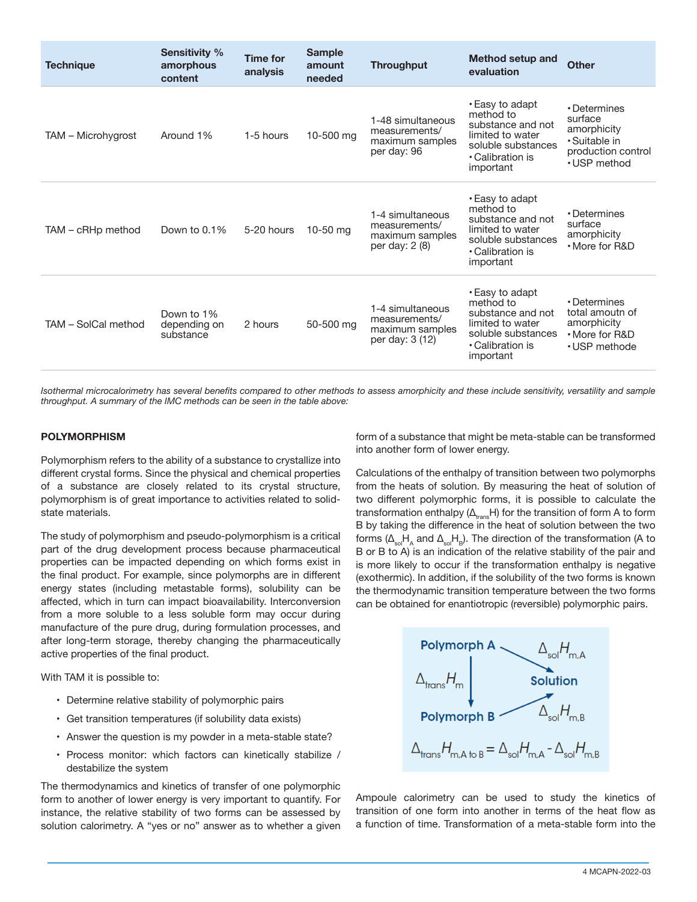| <b>Technique</b>    | <b>Sensitivity %</b><br>amorphous<br>content | <b>Time for</b><br>analysis | <b>Sample</b><br>amount<br>needed | <b>Throughput</b>                                                       | <b>Method setup and</b><br>evaluation                                                                                        | <b>Other</b>                                                                                  |
|---------------------|----------------------------------------------|-----------------------------|-----------------------------------|-------------------------------------------------------------------------|------------------------------------------------------------------------------------------------------------------------------|-----------------------------------------------------------------------------------------------|
| TAM - Microhygrost  | Around 1%                                    | 1-5 hours                   | 10-500 mg                         | 1-48 simultaneous<br>measurements/<br>maximum samples<br>per day: 96    | • Easy to adapt<br>method to<br>substance and not<br>limited to water<br>soluble substances<br>• Calibration is<br>important | • Determines<br>surface<br>amorphicity<br>· Suitable in<br>production control<br>• USP method |
| TAM – cRHp method   | Down to $0.1\%$                              | 5-20 hours                  | 10-50 mg                          | 1-4 simultaneous<br>measurements/<br>maximum samples<br>per day: 2 (8)  | • Easy to adapt<br>method to<br>substance and not<br>limited to water<br>soluble substances<br>• Calibration is<br>important | • Determines<br>surface<br>amorphicity<br>• More for R&D                                      |
| TAM - SolCal method | Down to 1%<br>depending on<br>substance      | 2 hours                     | 50-500 mg                         | 1-4 simultaneous<br>measurements/<br>maximum samples<br>per day: 3 (12) | • Easy to adapt<br>method to<br>substance and not<br>limited to water<br>soluble substances<br>• Calibration is<br>important | • Determines<br>total amoutn of<br>amorphicity<br>• More for R&D<br>• USP methode             |

*Isothermal microcalorimetry has several benefits compared to other methods to assess amorphicity and these include sensitivity, versatility and sample throughput. A summary of the IMC methods can be seen in the table above:*

#### **POLYMORPHISM**

Polymorphism refers to the ability of a substance to crystallize into different crystal forms. Since the physical and chemical properties of a substance are closely related to its crystal structure, polymorphism is of great importance to activities related to solidstate materials.

The study of polymorphism and pseudo-polymorphism is a critical part of the drug development process because pharmaceutical properties can be impacted depending on which forms exist in the final product. For example, since polymorphs are in different energy states (including metastable forms), solubility can be affected, which in turn can impact bioavailability. Interconversion from a more soluble to a less soluble form may occur during manufacture of the pure drug, during formulation processes, and after long-term storage, thereby changing the pharmaceutically active properties of the final product.

With TAM it is possible to:

- Determine relative stability of polymorphic pairs
- Get transition temperatures (if solubility data exists)
- Answer the question is my powder in a meta-stable state?
- Process monitor: which factors can kinetically stabilize / destabilize the system

The thermodynamics and kinetics of transfer of one polymorphic form to another of lower energy is very important to quantify. For instance, the relative stability of two forms can be assessed by solution calorimetry. A "yes or no" answer as to whether a given form of a substance that might be meta-stable can be transformed into another form of lower energy.

Calculations of the enthalpy of transition between two polymorphs from the heats of solution. By measuring the heat of solution of two different polymorphic forms, it is possible to calculate the transformation enthalpy ( $\Delta_{\text{trans}}H$ ) for the transition of form A to form B by taking the difference in the heat of solution between the two forms ( $\Delta_{sol}H_{A}$  and  $\Delta_{sol}H_{B}$ ). The direction of the transformation (A to B or B to A) is an indication of the relative stability of the pair and is more likely to occur if the transformation enthalpy is negative (exothermic). In addition, if the solubility of the two forms is known the thermodynamic transition temperature between the two forms can be obtained for enantiotropic (reversible) polymorphic pairs.



Ampoule calorimetry can be used to study the kinetics of transition of one form into another in terms of the heat flow as a function of time. Transformation of a meta-stable form into the